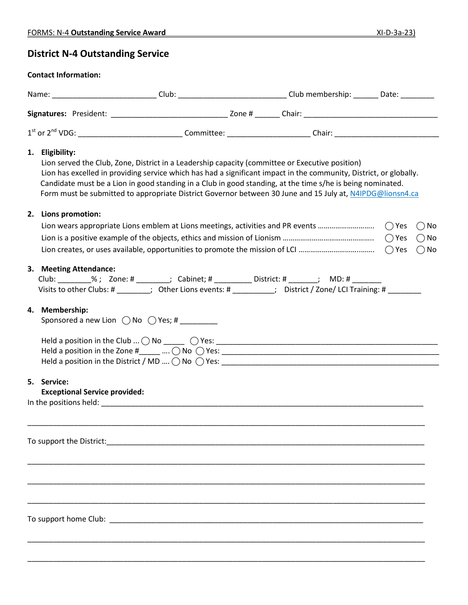## **District N-4 Outstanding Service**

## **Contact Information:**

|                                                     | Name: ______________________________Club: _______________________________Club membership: ________Date: __________                                                                                                                                                                                                                                                                                                                               |  |                                           |
|-----------------------------------------------------|--------------------------------------------------------------------------------------------------------------------------------------------------------------------------------------------------------------------------------------------------------------------------------------------------------------------------------------------------------------------------------------------------------------------------------------------------|--|-------------------------------------------|
|                                                     |                                                                                                                                                                                                                                                                                                                                                                                                                                                  |  |                                           |
|                                                     |                                                                                                                                                                                                                                                                                                                                                                                                                                                  |  |                                           |
| 1. Eligibility:                                     | Lion served the Club, Zone, District in a Leadership capacity (committee or Executive position)<br>Lion has excelled in providing service which has had a significant impact in the community, District, or globally.<br>Candidate must be a Lion in good standing in a Club in good standing, at the time s/he is being nominated.<br>Form must be submitted to appropriate District Governor between 30 June and 15 July at, N4IPDG@lionsn4.ca |  |                                           |
| 2. Lions promotion:                                 |                                                                                                                                                                                                                                                                                                                                                                                                                                                  |  | $()$ No<br>$\bigcirc$ No<br>$\bigcirc$ No |
| 3. Meeting Attendance:                              | Club: ________%; Zone: # _______; Cabinet; # _________ District: # ______; MD: # _______<br>Visits to other Clubs: # ________; Other Lions events: # _________; District / Zone/ LCI Training: # ________                                                                                                                                                                                                                                        |  |                                           |
| 4. Membership:                                      | Sponsored a new Lion $\bigcirc$ No $\bigcirc$ Yes; #                                                                                                                                                                                                                                                                                                                                                                                             |  |                                           |
| 5. Service:<br><b>Exceptional Service provided:</b> |                                                                                                                                                                                                                                                                                                                                                                                                                                                  |  |                                           |
|                                                     |                                                                                                                                                                                                                                                                                                                                                                                                                                                  |  |                                           |
|                                                     |                                                                                                                                                                                                                                                                                                                                                                                                                                                  |  |                                           |
|                                                     |                                                                                                                                                                                                                                                                                                                                                                                                                                                  |  |                                           |

\_\_\_\_\_\_\_\_\_\_\_\_\_\_\_\_\_\_\_\_\_\_\_\_\_\_\_\_\_\_\_\_\_\_\_\_\_\_\_\_\_\_\_\_\_\_\_\_\_\_\_\_\_\_\_\_\_\_\_\_\_\_\_\_\_\_\_\_\_\_\_\_\_\_\_\_\_\_\_\_\_\_\_\_\_\_\_\_\_\_\_\_\_\_\_